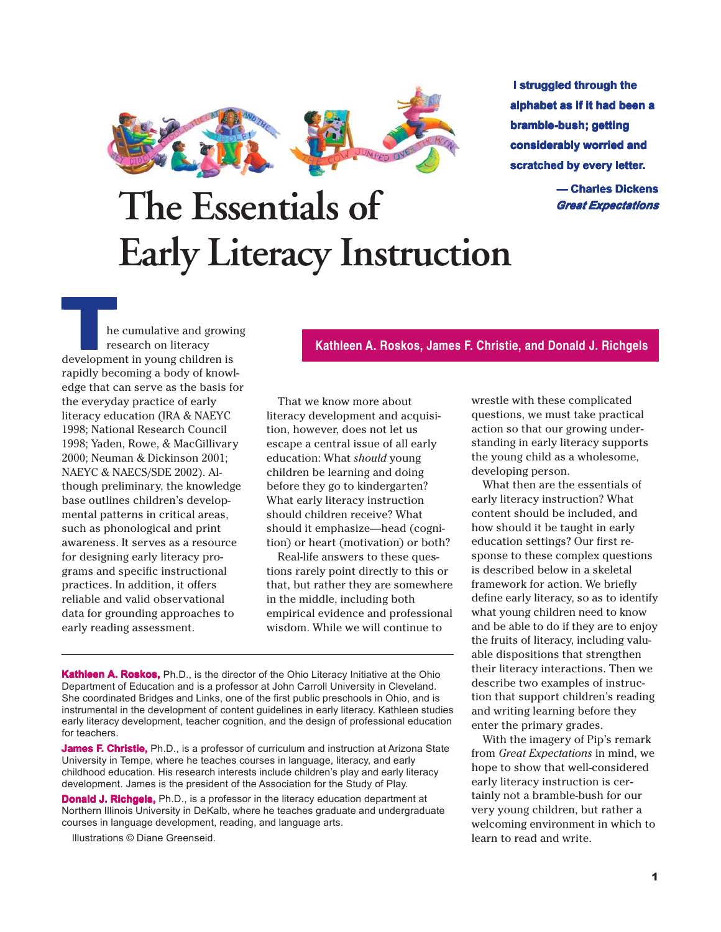

**I struggled through the alphabet as if it had been a bramble-bush; getting considerably worried and scratched by every letter.**

**The Essentials of Early Literacy Instruction**

**— Charles Dickens** *Great Expectations*

The cumulative and growing development in young children is research on literacy rapidly becoming a body of knowledge that can serve as the basis for the everyday practice of early literacy education (IRA & NAEYC 1998; National Research Council 1998; Yaden, Rowe, & MacGillivary 2000; Neuman & Dickinson 2001; NAEYC & NAECS/SDE 2002). Although preliminary, the knowledge base outlines children's developmental patterns in critical areas, such as phonological and print awareness. It serves as a resource for designing early literacy programs and specific instructional practices. In addition, it offers reliable and valid observational data for grounding approaches to early reading assessment.

**Kathleen A. Roskos, James F. Christie, and Donald J. Richgels**

That we know more about literacy development and acquisition, however, does not let us escape a central issue of all early education: What *should* young children be learning and doing before they go to kindergarten? What early literacy instruction should children receive? What should it emphasize—head (cognition) or heart (motivation) or both?

Real-life answers to these questions rarely point directly to this or that, but rather they are somewhere in the middle, including both empirical evidence and professional wisdom. While we will continue to

**Kathleen A. Roskos,** Ph.D., is the director of the Ohio Literacy Initiative at the Ohio Department of Education and is a professor at John Carroll University in Cleveland. She coordinated Bridges and Links, one of the first public preschools in Ohio, and is instrumental in the development of content guidelines in early literacy. Kathleen studies early literacy development, teacher cognition, and the design of professional education for teachers.

**James F. Christie,** Ph.D., is a professor of curriculum and instruction at Arizona State University in Tempe, where he teaches courses in language, literacy, and early childhood education. His research interests include children's play and early literacy development. James is the president of the Association for the Study of Play.

**Donald J. Richgels,** Ph.D., is a professor in the literacy education department at Northern Illinois University in DeKalb, where he teaches graduate and undergraduate courses in language development, reading, and language arts.

Illustrations © Diane Greenseid.

wrestle with these complicated questions, we must take practical action so that our growing understanding in early literacy supports the young child as a wholesome, developing person.

What then are the essentials of early literacy instruction? What content should be included, and how should it be taught in early education settings? Our first response to these complex questions is described below in a skeletal framework for action. We briefly define early literacy, so as to identify what young children need to know and be able to do if they are to enjoy the fruits of literacy, including valuable dispositions that strengthen their literacy interactions. Then we describe two examples of instruction that support children's reading and writing learning before they enter the primary grades.

With the imagery of Pip's remark from *Great Expectations* in mind, we hope to show that well-considered early literacy instruction is certainly not a bramble-bush for our very young children, but rather a welcoming environment in which to learn to read and write.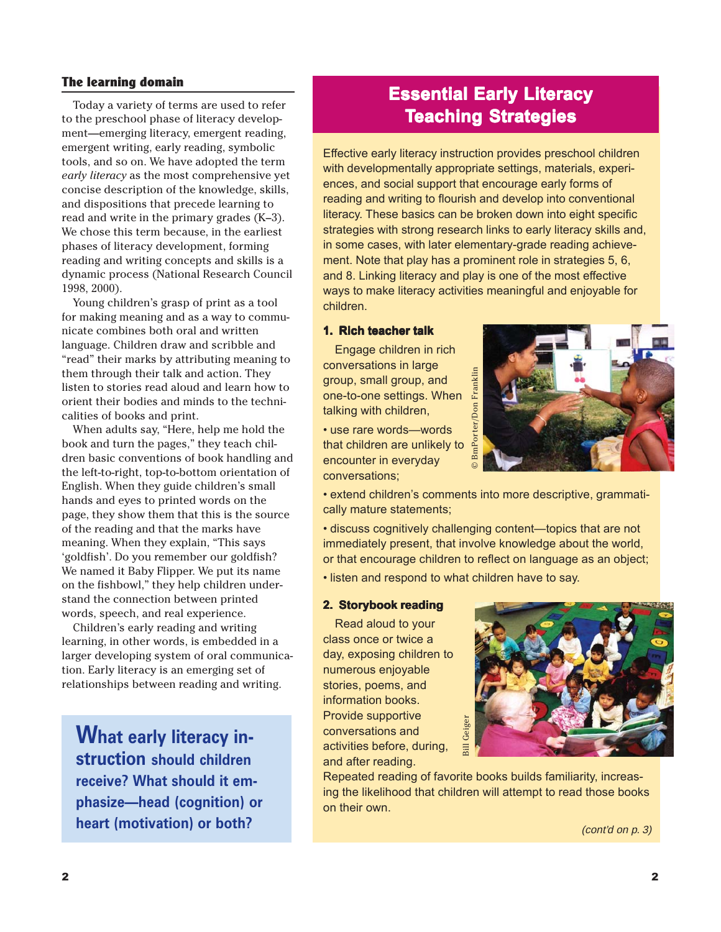### **The learning domain**

Today a variety of terms are used to refer to the preschool phase of literacy development—emerging literacy, emergent reading, emergent writing, early reading, symbolic tools, and so on. We have adopted the term *early literacy* as the most comprehensive yet concise description of the knowledge, skills, and dispositions that precede learning to read and write in the primary grades (K–3). We chose this term because, in the earliest phases of literacy development, forming reading and writing concepts and skills is a dynamic process (National Research Council 1998, 2000).

Young children's grasp of print as a tool for making meaning and as a way to communicate combines both oral and written language. Children draw and scribble and "read" their marks by attributing meaning to them through their talk and action. They listen to stories read aloud and learn how to orient their bodies and minds to the technicalities of books and print.

When adults say, "Here, help me hold the book and turn the pages," they teach children basic conventions of book handling and the left-to-right, top-to-bottom orientation of English. When they guide children's small hands and eyes to printed words on the page, they show them that this is the source of the reading and that the marks have meaning. When they explain, "This says 'goldfish'. Do you remember our goldfish? We named it Baby Flipper. We put its name on the fishbowl," they help children understand the connection between printed words, speech, and real experience.

Children's early reading and writing learning, in other words, is embedded in a larger developing system of oral communication. Early literacy is an emerging set of relationships between reading and writing.

**What early literacy instruction should children receive? What should it emphasize—head (cognition) or heart (motivation) or both?**

# **Essential Early Literacy Teaching Strategies**

Effective early literacy instruction provides preschool children with developmentally appropriate settings, materials, experiences, and social support that encourage early forms of reading and writing to flourish and develop into conventional literacy. These basics can be broken down into eight specific strategies with strong research links to early literacy skills and, in some cases, with later elementary-grade reading achievement. Note that play has a prominent role in strategies 5, 6, and 8. Linking literacy and play is one of the most effective ways to make literacy activities meaningful and enjoyable for children.

#### **1. Rich teacher talk**

Engage children in rich conversations in large group, small group, and one-to-one settings. When talking with children,

• use rare words—words that children are unlikely to encounter in everyday conversations;



• extend children's comments into more descriptive, grammatically mature statements;

• discuss cognitively challenging content—topics that are not immediately present, that involve knowledge about the world, or that encourage children to reflect on language as an object;

• listen and respond to what children have to say.

#### **2. Storybook reading**

Read aloud to your class once or twice a day, exposing children to numerous enjoyable stories, poems, and information books. Provide supportive conversations and activities before, during, and after reading.



Repeated reading of favorite books builds familiarity, increasing the likelihood that children will attempt to read those books on their own.

(cont'd on p. 3)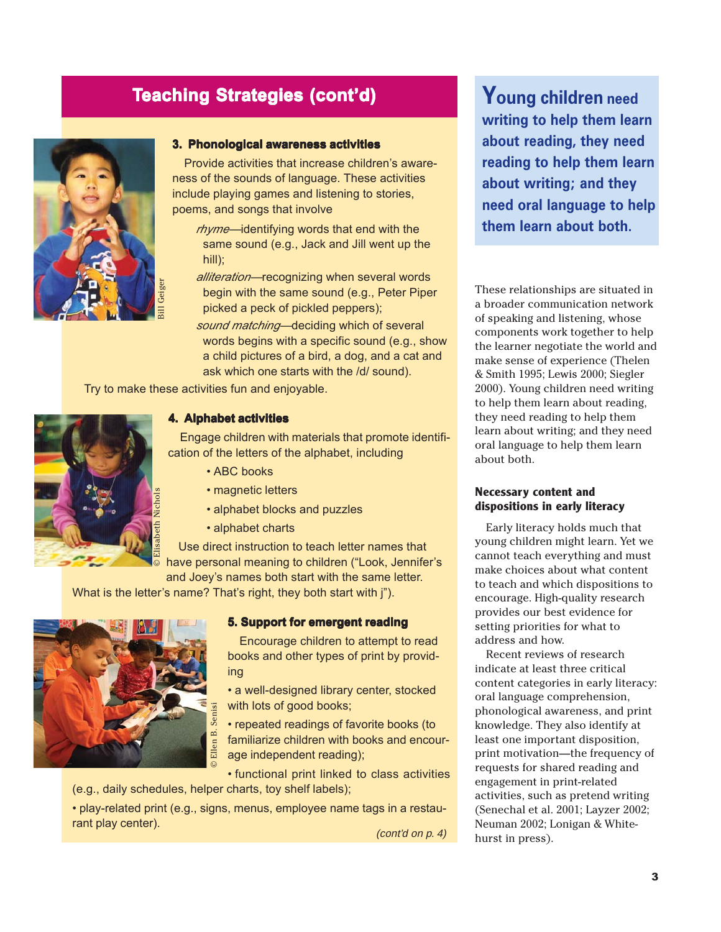# **Teaching Strategies (cont'd) eaching Strategies (cont'd)**



#### **3. Phonological awareness activities**

Provide activities that increase children's awareness of the sounds of language. These activities include playing games and listening to stories, poems, and songs that involve

- *rhyme—*identifying words that end with the same sound (e.g., Jack and Jill went up the hill);
- *alliteration—*recognizing when several words begin with the same sound (e.g., Peter Piper picked a peck of pickled peppers);
- *sound matching—*deciding which of several words begins with a specific sound (e.g., show a child pictures of a bird, a dog, and a cat and ask which one starts with the /d/ sound).

Try to make these activities fun and enjoyable.



#### **4. Alphabet activities**

Engage children with materials that promote identification of the letters of the alphabet, including

- ABC books
- magnetic letters
- alphabet blocks and puzzles
- alphabet charts

Use direct instruction to teach letter names that have personal meaning to children ("Look, Jennifer's and Joey's names both start with the same letter.

What is the letter's name? That's right, they both start with j").



### **5. Support for emergent reading**

Encourage children to attempt to read books and other types of print by providing

• a well-designed library center, stocked with lots of good books;

• repeated readings of favorite books (to familiarize children with books and encourage independent reading);

• functional print linked to class activities (e.g., daily schedules, helper charts, toy shelf labels);

• play-related print (e.g., signs, menus, employee name tags in a restaurant play center).

(cont'd on p. 4)

**Young children need writing to help them learn about reading, they need reading to help them learn about writing; and they need oral language to help them learn about both.**

These relationships are situated in a broader communication network of speaking and listening, whose components work together to help the learner negotiate the world and make sense of experience (Thelen & Smith 1995; Lewis 2000; Siegler 2000). Young children need writing to help them learn about reading, they need reading to help them learn about writing; and they need oral language to help them learn about both.

#### **Necessary content and dispositions in early literacy**

Early literacy holds much that young children might learn. Yet we cannot teach everything and must make choices about what content to teach and which dispositions to encourage. High-quality research provides our best evidence for setting priorities for what to address and how.

Recent reviews of research indicate at least three critical content categories in early literacy: oral language comprehension, phonological awareness, and print knowledge. They also identify at least one important disposition, print motivation—the frequency of requests for shared reading and engagement in print-related activities, such as pretend writing (Senechal et al. 2001; Layzer 2002; Neuman 2002; Lonigan & Whitehurst in press).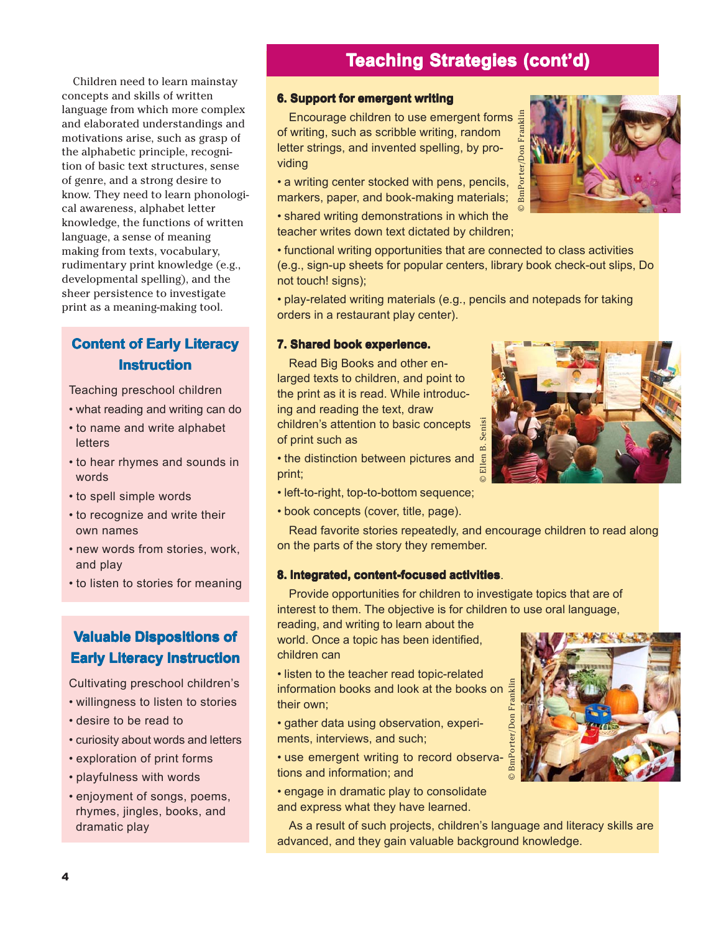# **Teaching Strategies (cont'd) eaching (cont'd)**

Children need to learn mainstay concepts and skills of written language from which more complex and elaborated understandings and motivations arise, such as grasp of the alphabetic principle, recognition of basic text structures, sense of genre, and a strong desire to know. They need to learn phonological awareness, alphabet letter knowledge, the functions of written language, a sense of meaning making from texts, vocabulary, rudimentary print knowledge (e.g., developmental spelling), and the sheer persistence to investigate print as a meaning-making tool.

## **Content of Early Literacy Instruction**

Teaching preschool children

- what reading and writing can do
- to name and write alphabet letters
- to hear rhymes and sounds in words
- to spell simple words
- to recognize and write their own names
- new words from stories, work, and play
- to listen to stories for meaning

## **Valuable Dispositions of aluable Dispositions Early Literacy Instruction**

Cultivating preschool children's

- willingness to listen to stories
- desire to be read to
- curiosity about words and letters
- exploration of print forms
- playfulness with words
- enjoyment of songs, poems, rhymes, jingles, books, and dramatic play

#### **6. Support for emergent writing**

Encourage children to use emergent forms of writing, such as scribble writing, random letter strings, and invented spelling, by providing

• a writing center stocked with pens, pencils, markers, paper, and book-making materials;

• shared writing demonstrations in which the teacher writes down text dictated by children;

• functional writing opportunities that are connected to class activities (e.g., sign-up sheets for popular centers, library book check-out slips, Do not touch! signs);

• play-related writing materials (e.g., pencils and notepads for taking orders in a restaurant play center).

#### **7. Shared book experience. 7. Shared book**

Read Big Books and other enlarged texts to children, and point to the print as it is read. While introducing and reading the text, draw children's attention to basic concepts of print such as Encourage children to use emergent forms and the model and they gain valuable background knowledge.<br>
The emergency and the station of the model with pension and the station of the model with a small the station of the stat

- the distinction between pictures and  $\frac{d}{2}$ print;
- left-to-right, top-to-bottom sequence;
- book concepts (cover, title, page).

Read favorite stories repeatedly, and encourage children to read along on the parts of the story they remember.

#### **8. Integrated, content-focused activities**.

Provide opportunities for children to investigate topics that are of interest to them. The objective is for children to use oral language,

reading, and writing to learn about the world. Once a topic has been identified, children can

• listen to the teacher read topic-related information books and look at the books on their own;

- gather data using observation, experiments, interviews, and such;
- use emergent writing to record observations and information; and
- engage in dramatic play to consolidate and express what they have learned.

As a result of such projects, children's language and literacy skills are





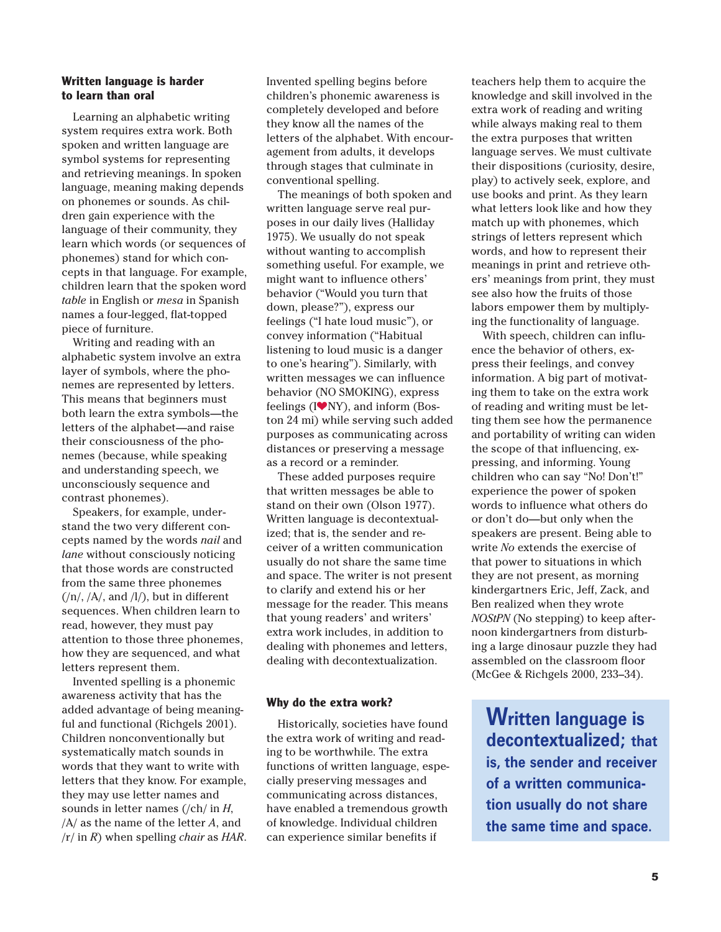#### **Written language is harder to learn than oral**

Learning an alphabetic writing system requires extra work. Both spoken and written language are symbol systems for representing and retrieving meanings. In spoken language, meaning making depends on phonemes or sounds. As children gain experience with the language of their community, they learn which words (or sequences of phonemes) stand for which concepts in that language. For example, children learn that the spoken word *table* in English or *mesa* in Spanish names a four-legged, flat-topped piece of furniture.

Writing and reading with an alphabetic system involve an extra layer of symbols, where the phonemes are represented by letters. This means that beginners must both learn the extra symbols—the letters of the alphabet—and raise their consciousness of the phonemes (because, while speaking and understanding speech, we unconsciously sequence and contrast phonemes).

Speakers, for example, understand the two very different concepts named by the words *nail* and *lane* without consciously noticing that those words are constructed from the same three phonemes  $(|n\rangle, |A\rangle,$  and  $|l\rangle)$ , but in different sequences. When children learn to read, however, they must pay attention to those three phonemes, how they are sequenced, and what letters represent them.

Invented spelling is a phonemic awareness activity that has the added advantage of being meaningful and functional (Richgels 2001). Children nonconventionally but systematically match sounds in words that they want to write with letters that they know. For example, they may use letter names and sounds in letter names (/ch/ in *H*, /A/ as the name of the letter *A*, and /r/ in *R*) when spelling *chair* as *HAR*. Invented spelling begins before children's phonemic awareness is completely developed and before they know all the names of the letters of the alphabet. With encouragement from adults, it develops through stages that culminate in conventional spelling.

The meanings of both spoken and written language serve real purposes in our daily lives (Halliday 1975). We usually do not speak without wanting to accomplish something useful. For example, we might want to influence others' behavior ("Would you turn that down, please?"), express our feelings ("I hate loud music"), or convey information ("Habitual listening to loud music is a danger to one's hearing"). Similarly, with written messages we can influence behavior (NO SMOKING), express feelings (IVNY), and inform (Boston 24 mi) while serving such added purposes as communicating across distances or preserving a message as a record or a reminder.

These added purposes require that written messages be able to stand on their own (Olson 1977). Written language is decontextualized; that is, the sender and receiver of a written communication usually do not share the same time and space. The writer is not present to clarify and extend his or her message for the reader. This means that young readers' and writers' extra work includes, in addition to dealing with phonemes and letters, dealing with decontextualization.

#### **Why do the extra work?**

Historically, societies have found the extra work of writing and reading to be worthwhile. The extra functions of written language, especially preserving messages and communicating across distances, have enabled a tremendous growth of knowledge. Individual children can experience similar benefits if

teachers help them to acquire the knowledge and skill involved in the extra work of reading and writing while always making real to them the extra purposes that written language serves. We must cultivate their dispositions (curiosity, desire, play) to actively seek, explore, and use books and print. As they learn what letters look like and how they match up with phonemes, which strings of letters represent which words, and how to represent their meanings in print and retrieve others' meanings from print, they must see also how the fruits of those labors empower them by multiplying the functionality of language.

With speech, children can influence the behavior of others, express their feelings, and convey information. A big part of motivating them to take on the extra work of reading and writing must be letting them see how the permanence and portability of writing can widen the scope of that influencing, expressing, and informing. Young children who can say "No! Don't!" experience the power of spoken words to influence what others do or don't do—but only when the speakers are present. Being able to write *No* extends the exercise of that power to situations in which they are not present, as morning kindergartners Eric, Jeff, Zack, and Ben realized when they wrote *NOStPN* (No stepping) to keep afternoon kindergartners from disturbing a large dinosaur puzzle they had assembled on the classroom floor (McGee & Richgels 2000, 233–34).

**Written language is decontextualized; that is, the sender and receiver of a written communication usually do not share the same time and space.**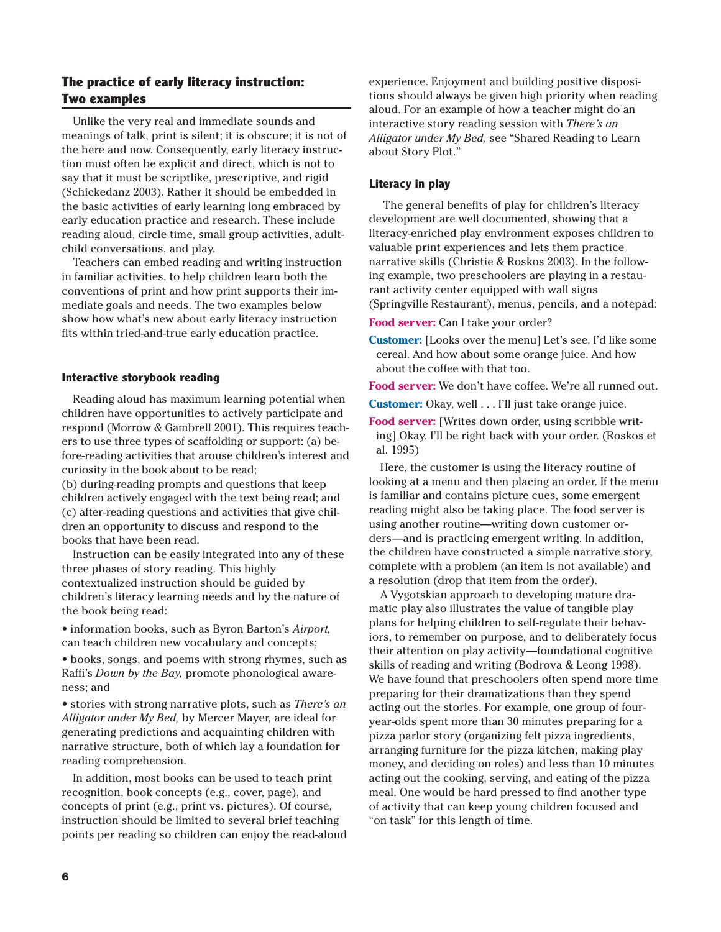## **The practice of early literacy instruction: Two examples**

Unlike the very real and immediate sounds and meanings of talk, print is silent; it is obscure; it is not of the here and now. Consequently, early literacy instruction must often be explicit and direct, which is not to say that it must be scriptlike, prescriptive, and rigid (Schickedanz 2003). Rather it should be embedded in the basic activities of early learning long embraced by early education practice and research. These include reading aloud, circle time, small group activities, adultchild conversations, and play.

Teachers can embed reading and writing instruction in familiar activities, to help children learn both the conventions of print and how print supports their immediate goals and needs. The two examples below show how what's new about early literacy instruction fits within tried-and-true early education practice.

#### **Interactive storybook reading**

Reading aloud has maximum learning potential when children have opportunities to actively participate and respond (Morrow & Gambrell 2001). This requires teachers to use three types of scaffolding or support: (a) before-reading activities that arouse children's interest and curiosity in the book about to be read;

(b) during-reading prompts and questions that keep children actively engaged with the text being read; and (c) after-reading questions and activities that give children an opportunity to discuss and respond to the books that have been read.

Instruction can be easily integrated into any of these three phases of story reading. This highly contextualized instruction should be guided by children's literacy learning needs and by the nature of the book being read:

• information books, such as Byron Barton's *Airport,* can teach children new vocabulary and concepts;

• books, songs, and poems with strong rhymes, such as Raffi's *Down by the Bay,* promote phonological awareness; and

• stories with strong narrative plots, such as *There's an Alligator under My Bed,* by Mercer Mayer, are ideal for generating predictions and acquainting children with narrative structure, both of which lay a foundation for reading comprehension.

In addition, most books can be used to teach print recognition, book concepts (e.g., cover, page), and concepts of print (e.g., print vs. pictures). Of course, instruction should be limited to several brief teaching points per reading so children can enjoy the read-aloud experience. Enjoyment and building positive dispositions should always be given high priority when reading aloud. For an example of how a teacher might do an interactive story reading session with *There's an Alligator under My Bed,* see "Shared Reading to Learn about Story Plot."

#### **Literacy in play**

 The general benefits of play for children's literacy development are well documented, showing that a literacy-enriched play environment exposes children to valuable print experiences and lets them practice narrative skills (Christie & Roskos 2003). In the following example, two preschoolers are playing in a restaurant activity center equipped with wall signs (Springville Restaurant), menus, pencils, and a notepad:

**Food server:** Can I take your order?

**Customer:** [Looks over the menu] Let's see, I'd like some cereal. And how about some orange juice. And how about the coffee with that too.

**Food server:** We don't have coffee. We're all runned out.

**Customer:** Okay, well . . . I'll just take orange juice.

**Food server:** [Writes down order, using scribble writing] Okay. I'll be right back with your order. (Roskos et al. 1995)

Here, the customer is using the literacy routine of looking at a menu and then placing an order. If the menu is familiar and contains picture cues, some emergent reading might also be taking place. The food server is using another routine—writing down customer orders—and is practicing emergent writing. In addition, the children have constructed a simple narrative story, complete with a problem (an item is not available) and a resolution (drop that item from the order).

A Vygotskian approach to developing mature dramatic play also illustrates the value of tangible play plans for helping children to self-regulate their behaviors, to remember on purpose, and to deliberately focus their attention on play activity—foundational cognitive skills of reading and writing (Bodrova & Leong 1998). We have found that preschoolers often spend more time preparing for their dramatizations than they spend acting out the stories. For example, one group of fouryear-olds spent more than 30 minutes preparing for a pizza parlor story (organizing felt pizza ingredients, arranging furniture for the pizza kitchen, making play money, and deciding on roles) and less than 10 minutes acting out the cooking, serving, and eating of the pizza meal. One would be hard pressed to find another type of activity that can keep young children focused and "on task" for this length of time.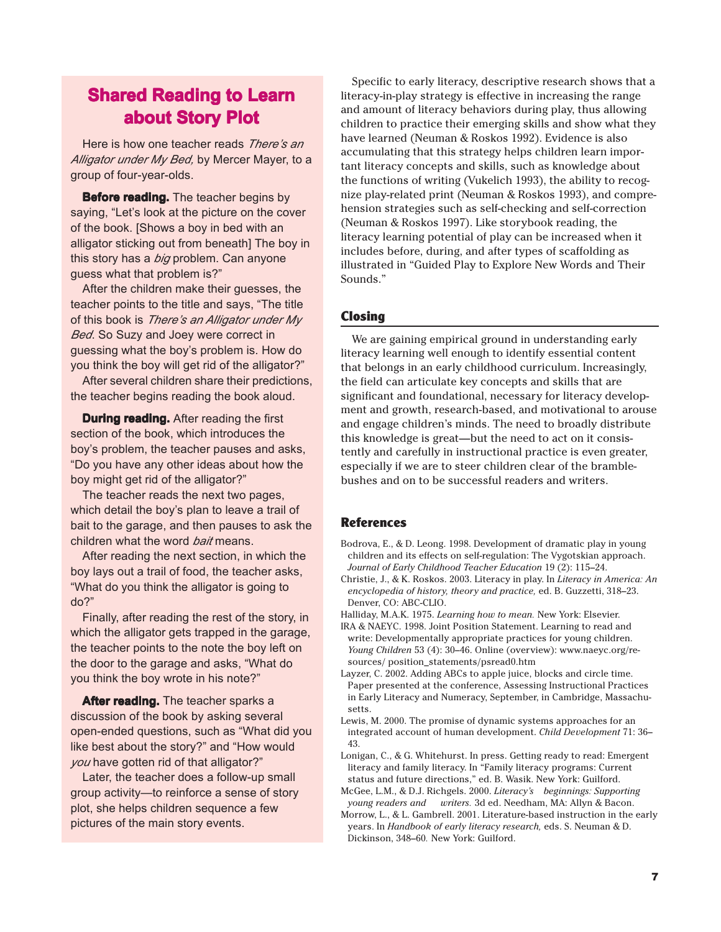# **Shared Reading to Learn about Story Plot about**

Here is how one teacher reads *There's an Alligator under My Bed,* by Mercer Mayer, to a group of four-year-olds.

**Before reading.** The teacher begins by saying, "Let's look at the picture on the cover of the book. [Shows a boy in bed with an alligator sticking out from beneath] The boy in this story has a *big* problem. Can anyone guess what that problem is?"

After the children make their guesses, the teacher points to the title and says, "The title of this book is *There's an Alligator under My Bed*. So Suzy and Joey were correct in guessing what the boy's problem is. How do you think the boy will get rid of the alligator?"

After several children share their predictions, the teacher begins reading the book aloud.

**During reading.** After reading the first section of the book, which introduces the boy's problem, the teacher pauses and asks, "Do you have any other ideas about how the boy might get rid of the alligator?"

The teacher reads the next two pages, which detail the boy's plan to leave a trail of bait to the garage, and then pauses to ask the children what the word *bait* means.

After reading the next section, in which the boy lays out a trail of food, the teacher asks, "What do you think the alligator is going to do?"

Finally, after reading the rest of the story, in which the alligator gets trapped in the garage, the teacher points to the note the boy left on the door to the garage and asks, "What do you think the boy wrote in his note?"

**After reading.** The teacher sparks a discussion of the book by asking several open-ended questions, such as "What did you like best about the story?" and "How would *you* have gotten rid of that alligator?"

Later, the teacher does a follow-up small group activity—to reinforce a sense of story plot, she helps children sequence a few pictures of the main story events.

Specific to early literacy, descriptive research shows that a literacy-in-play strategy is effective in increasing the range and amount of literacy behaviors during play, thus allowing children to practice their emerging skills and show what they have learned (Neuman & Roskos 1992). Evidence is also accumulating that this strategy helps children learn important literacy concepts and skills, such as knowledge about the functions of writing (Vukelich 1993), the ability to recognize play-related print (Neuman & Roskos 1993), and comprehension strategies such as self-checking and self-correction (Neuman & Roskos 1997). Like storybook reading, the literacy learning potential of play can be increased when it includes before, during, and after types of scaffolding as illustrated in "Guided Play to Explore New Words and Their Sounds."

## **Closing**

We are gaining empirical ground in understanding early literacy learning well enough to identify essential content that belongs in an early childhood curriculum. Increasingly, the field can articulate key concepts and skills that are significant and foundational, necessary for literacy development and growth, research-based, and motivational to arouse and engage children's minds. The need to broadly distribute this knowledge is great—but the need to act on it consistently and carefully in instructional practice is even greater, especially if we are to steer children clear of the bramblebushes and on to be successful readers and writers.

### **References**

- Bodrova, E., & D. Leong. 1998. Development of dramatic play in young children and its effects on self-regulation: The Vygotskian approach. *Journal of Early Childhood Teacher Education* 19 (2): 115–24.
- Christie, J., & K. Roskos. 2003. Literacy in play. In *Literacy in America: An encyclopedia of history, theory and practice,* ed. B. Guzzetti, 318–23. Denver, CO: ABC-CLIO.
- Halliday, M.A.K. 1975. *Learning how to mean.* New York: Elsevier.
- IRA & NAEYC. 1998. Joint Position Statement. Learning to read and write: Developmentally appropriate practices for young children. *Young Children* 53 (4): 30–46. Online (overview): www.naeyc.org/resources/ position\_statements/psread0.htm
- Layzer, C. 2002. Adding ABCs to apple juice, blocks and circle time. Paper presented at the conference, Assessing Instructional Practices in Early Literacy and Numeracy, September, in Cambridge, Massachusetts.
- Lewis, M. 2000. The promise of dynamic systems approaches for an integrated account of human development. *Child Development* 71: 36– 43.
- Lonigan, C., & G. Whitehurst. In press. Getting ready to read: Emergent literacy and family literacy. In "Family literacy programs: Current status and future directions," ed. B. Wasik. New York: Guilford.
- McGee, L.M., & D.J. Richgels. 2000. *Literacy's beginnings: Supporting young readers and writers.* 3d ed. Needham, MA: Allyn & Bacon.
- Morrow, L., & L. Gambrell. 2001. Literature-based instruction in the early years. In *Handbook of early literacy research,* eds. S. Neuman & D. Dickinson, 348–60*.* New York: Guilford.